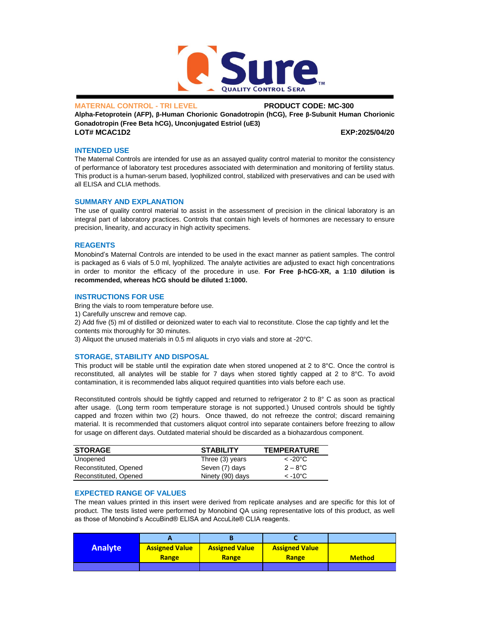

### **MATERNAL CONTROL - TRI LEVEL PRODUCT CODE: MC-300**

**Alpha-Fetoprotein (AFP), β-Human Chorionic Gonadotropin (hCG), Free β-Subunit Human Chorionic Gonadotropin (Free Beta hCG), Unconjugated Estriol (uE3) LOT# MCAC1D2 EXP:2025/04/20**

### **INTENDED USE**

The Maternal Controls are intended for use as an assayed quality control material to monitor the consistency of performance of laboratory test procedures associated with determination and monitoring of fertility status. This product is a human-serum based, lyophilized control, stabilized with preservatives and can be used with all ELISA and CLIA methods.

#### **SUMMARY AND EXPLANATION**

The use of quality control material to assist in the assessment of precision in the clinical laboratory is an integral part of laboratory practices. Controls that contain high levels of hormones are necessary to ensure precision, linearity, and accuracy in high activity specimens.

#### **REAGENTS**

Monobind's Maternal Controls are intended to be used in the exact manner as patient samples. The control is packaged as 6 vials of 5.0 ml, lyophilized. The analyte activities are adjusted to exact high concentrations in order to monitor the efficacy of the procedure in use. **For Free β-hCG-XR, a 1:10 dilution is recommended, whereas hCG should be diluted 1:1000.**

### **INSTRUCTIONS FOR USE**

Bring the vials to room temperature before use.

1) Carefully unscrew and remove cap.

2) Add five (5) ml of distilled or deionized water to each vial to reconstitute. Close the cap tightly and let the contents mix thoroughly for 30 minutes.

3) Aliquot the unused materials in 0.5 ml aliquots in cryo vials and store at -20°C.

# **STORAGE, STABILITY AND DISPOSAL**

This product will be stable until the expiration date when stored unopened at 2 to 8°C. Once the control is reconstituted, all analytes will be stable for 7 days when stored tightly capped at 2 to 8°C. To avoid contamination, it is recommended labs aliquot required quantities into vials before each use.

Reconstituted controls should be tightly capped and returned to refrigerator 2 to 8° C as soon as practical after usage. (Long term room temperature storage is not supported.) Unused controls should be tightly capped and frozen within two (2) hours. Once thawed, do not refreeze the control; discard remaining material. It is recommended that customers aliquot control into separate containers before freezing to allow for usage on different days. Outdated material should be discarded as a biohazardous component.

| <b>STORAGE</b>        | <b>STABILITY</b> | <b>TEMPERATURE</b> |
|-----------------------|------------------|--------------------|
| Unopened              | Three (3) years  | $<$ -20°C $<$      |
| Reconstituted, Opened | Seven (7) days   | $2 - 8^{\circ}C$   |
| Reconstituted, Opened | Ninety (90) days | $<$ -10°C $<$      |

# **EXPECTED RANGE OF VALUES**

The mean values printed in this insert were derived from replicate analyses and are specific for this lot of product. The tests listed were performed by Monobind QA using representative lots of this product, as well as those of Monobind's AccuBind® ELISA and AccuLite® CLIA reagents.

| <b>Analyte</b> | <b>Assigned Value</b> | <b>Assigned Value</b> | <b>Assigned Value</b> |               |
|----------------|-----------------------|-----------------------|-----------------------|---------------|
|                | Range                 | Range                 | <b>Range</b>          | <b>Method</b> |
|                |                       |                       |                       |               |